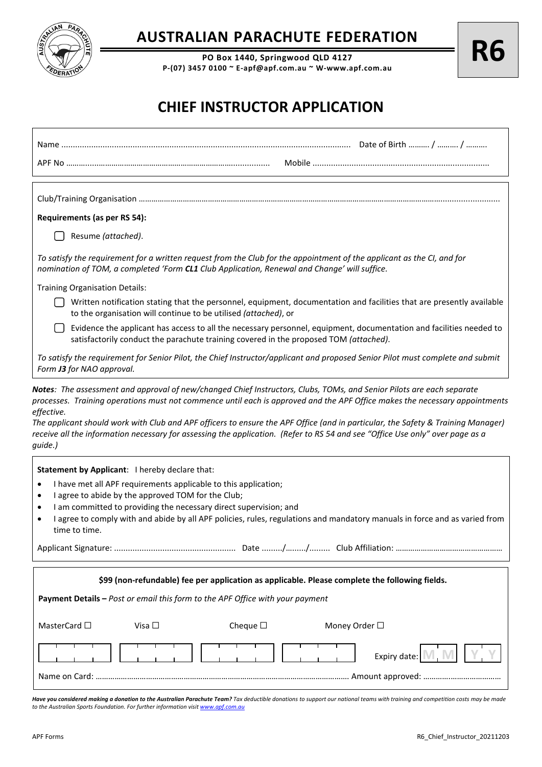

## **AUSTRALIAN PARACHUTE FEDERATION**

**PO Box 1440, Springwood QLD 4127 P-(07) 3457 0100 ~ E-apf@apf.com.au ~ W-www.apf.com.au**

## **CHIEF INSTRUCTOR APPLICATION**

| Requirements (as per RS 54):                                                                                                                                                                                                                                                               |  |  |  |
|--------------------------------------------------------------------------------------------------------------------------------------------------------------------------------------------------------------------------------------------------------------------------------------------|--|--|--|
| Resume (attached).                                                                                                                                                                                                                                                                         |  |  |  |
| To satisfy the requirement for a written request from the Club for the appointment of the applicant as the CI, and for<br>nomination of TOM, a completed 'Form CL1 Club Application, Renewal and Change' will suffice.                                                                     |  |  |  |
| <b>Training Organisation Details:</b>                                                                                                                                                                                                                                                      |  |  |  |
| Written notification stating that the personnel, equipment, documentation and facilities that are presently available<br>to the organisation will continue to be utilised (attached), or                                                                                                   |  |  |  |
| Evidence the applicant has access to all the necessary personnel, equipment, documentation and facilities needed to<br>satisfactorily conduct the parachute training covered in the proposed TOM (attached).                                                                               |  |  |  |
| To satisfy the requirement for Senior Pilot, the Chief Instructor/applicant and proposed Senior Pilot must complete and submit<br>Form J3 for NAO approval.                                                                                                                                |  |  |  |
| effective.<br>The applicant should work with Club and APF officers to ensure the APF Office (and in particular, the Safety & Training Manager)<br>receive all the information necessary for assessing the application. (Refer to RS 54 and see "Office Use only" over page as a<br>guide.) |  |  |  |
| Statement by Applicant: I hereby declare that:                                                                                                                                                                                                                                             |  |  |  |
| I have met all APF requirements applicable to this application;<br>٠                                                                                                                                                                                                                       |  |  |  |
| I agree to abide by the approved TOM for the Club;<br>٠<br>I am committed to providing the necessary direct supervision; and<br>٠                                                                                                                                                          |  |  |  |
| I agree to comply with and abide by all APF policies, rules, regulations and mandatory manuals in force and as varied from<br>$\bullet$<br>time to time.                                                                                                                                   |  |  |  |
|                                                                                                                                                                                                                                                                                            |  |  |  |
| \$99 (non-refundable) fee per application as applicable. Please complete the following fields.                                                                                                                                                                                             |  |  |  |
| Payment Details - Post or email this form to the APF Office with your payment                                                                                                                                                                                                              |  |  |  |
| Cheque $\square$<br>MasterCard $\square$<br>Visa $\square$<br>Money Order □                                                                                                                                                                                                                |  |  |  |
| Expiry date:                                                                                                                                                                                                                                                                               |  |  |  |
|                                                                                                                                                                                                                                                                                            |  |  |  |

Have you considered making a donation to the Australian Parachute Team? Tax deductible donations to support our national teams with training and competition costs may be made *to the Australian Sports Foundation. For further information visi[t www.apf.com.au](http://www.apf.com.au/)*